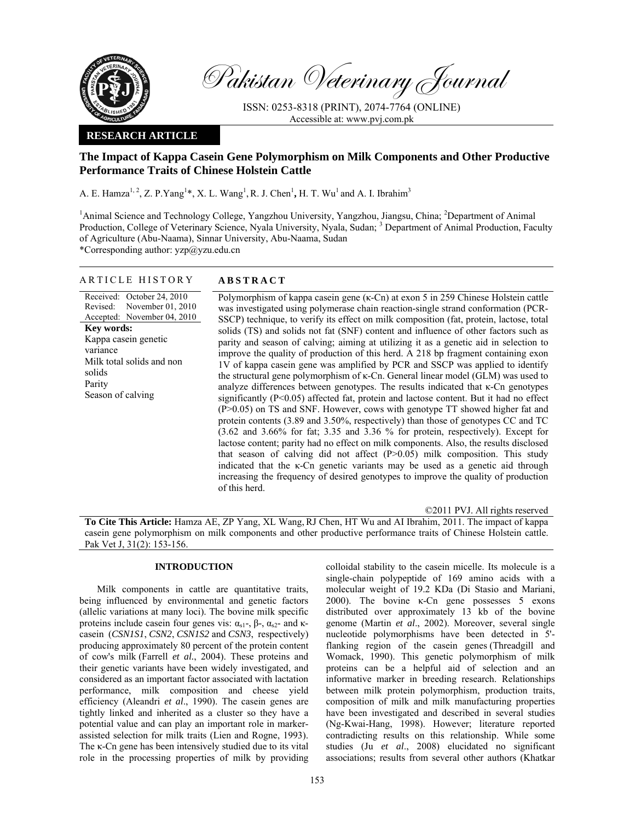

Pakistan Veterinary Journal

ISSN: 0253-8318 (PRINT), 2074-7764 (ONLINE) Accessible at: www.pvj.com.pk

### **RESEARCH ARTICLE**

# **The Impact of Kappa Casein Gene Polymorphism on Milk Components and Other Productive Performance Traits of Chinese Holstein Cattle**

A. E. Hamza<sup>1, 2</sup>, Z. P. Yang<sup>1</sup>\*, X. L. Wang<sup>1</sup>, R. J. Chen<sup>1</sup>, H. T. Wu<sup>1</sup> and A. I. Ibrahim<sup>3</sup>

<sup>1</sup>Animal Science and Technology College, Yangzhou University, Yangzhou, Jiangsu, China; <sup>2</sup>Department of Animal Production, College of Veterinary Science, Nyala University, Nyala, Sudan;<sup>3</sup> Department of Animal Production, Faculty of Agriculture (Abu-Naama), Sinnar University, Abu-Naama, Sudan \*Corresponding author: yzp@yzu.edu.cn

### ARTICLE HISTORY **ABSTRACT**

Received: October 24, 2010 Revised: Accepted: November 04, 2010 November 01, 2010 **Key words:**  Kappa casein genetic variance Milk total solids and non solids Parity Season of calving

Polymorphism of kappa casein gene (κ-Cn) at exon 5 in 259 Chinese Holstein cattle was investigated using polymerase chain reaction-single strand conformation (PCR-SSCP) technique, to verify its effect on milk composition (fat, protein, lactose, total solids (TS) and solids not fat (SNF) content and influence of other factors such as parity and season of calving; aiming at utilizing it as a genetic aid in selection to improve the quality of production of this herd. A 218 bp fragment containing exon 1V of kappa casein gene was amplified by PCR and SSCP was applied to identify the structural gene polymorphism of κ-Cn. General linear model (GLM) was used to analyze differences between genotypes. The results indicated that κ-Cn genotypes significantly (P<0.05) affected fat, protein and lactose content. But it had no effect (P>0.05) on TS and SNF. However, cows with genotype TT showed higher fat and protein contents (3.89 and 3.50%, respectively) than those of genotypes CC and TC (3.62 and 3.66% for fat; 3.35 and 3.36 % for protein, respectively). Except for lactose content; parity had no effect on milk components. Also, the results disclosed that season of calving did not affect  $(P>0.05)$  milk composition. This study indicated that the κ-Cn genetic variants may be used as a genetic aid through increasing the frequency of desired genotypes to improve the quality of production of this herd.

©2011 PVJ. All rights reserved

**To Cite This Article:** Hamza AE, ZP Yang, XL Wang, RJ Chen, HT Wu and AI Ibrahim, 2011. The impact of kappa casein gene polymorphism on milk components and other productive performance traits of Chinese Holstein cattle. Pak Vet J, 31(2): 153-156.

### **INTRODUCTION**

Milk components in cattle are quantitative traits, being influenced by environmental and genetic factors (allelic variations at many loci). The bovine milk specific proteins include casein four genes vis:  $\alpha_{s1}$ -, β-,  $\alpha_{s2}$ - and κcasein (*CSN1S1*, *CSN2*, *CSN1S2* and *CSN3*, respectively) producing approximately 80 percent of the protein content of cow's milk (Farrell *et al.*, 2004). These proteins and their genetic variants have been widely investigated, and considered as an important factor associated with lactation performance, milk composition and cheese yield efficiency (Aleandri *et al*., 1990). The casein genes are tightly linked and inherited as a cluster so they have a potential value and can play an important role in markerassisted selection for milk traits (Lien and Rogne, 1993). The κ-Cn gene has been intensively studied due to its vital role in the processing properties of milk by providing

colloidal stability to the casein micelle. Its molecule is a single-chain polypeptide of 169 amino acids with a molecular weight of 19.2 KDa (Di Stasio and Mariani, 2000). The bovine κ-Cn gene possesses 5 exons distributed over approximately 13 kb of the bovine genome (Martin *et al*., 2002). Moreover, several single nucleotide polymorphisms have been detected in 5' flanking region of the casein genes (Threadgill and Womack, 1990). This genetic polymorphism of milk proteins can be a helpful aid of selection and an informative marker in breeding research. Relationships between milk protein polymorphism, production traits, composition of milk and milk manufacturing properties have been investigated and described in several studies (Ng-Kwai-Hang, 1998). However; literature reported contradicting results on this relationship. While some studies (Ju *et al*., 2008) elucidated no significant associations; results from several other authors (Khatkar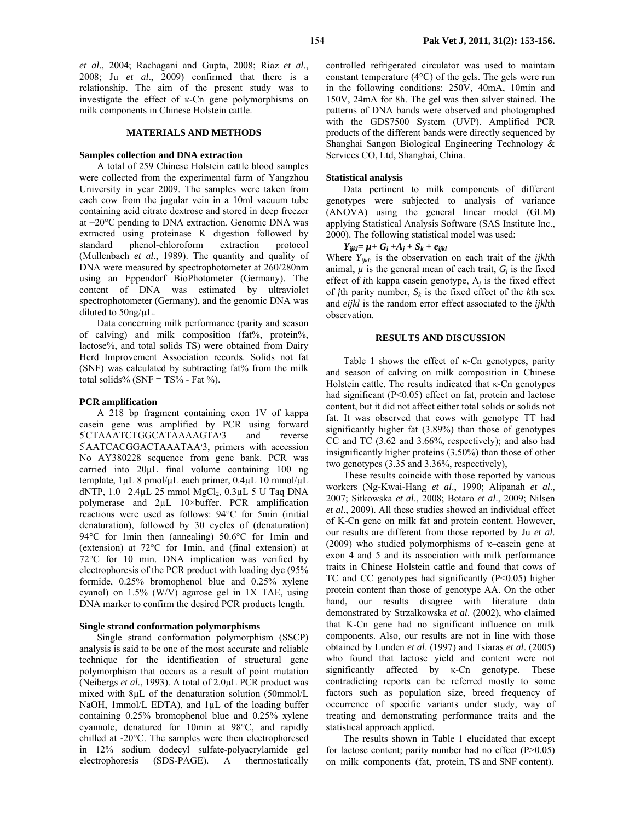*et al*., 2004; Rachagani and Gupta, 2008; Riaz *et al*., 2008; Ju *et al*., 2009) confirmed that there is a relationship. The aim of the present study was to investigate the effect of κ-Cn gene polymorphisms on milk components in Chinese Holstein cattle.

#### **MATERIALS AND METHODS**

#### **Samples collection and DNA extraction**

A total of 259 Chinese Holstein cattle blood samples were collected from the experimental farm of Yangzhou University in year 2009. The samples were taken from each cow from the jugular vein in a 10ml vacuum tube containing acid citrate dextrose and stored in deep freezer at −20°C pending to DNA extraction. Genomic DNA was extracted using proteinase K digestion followed by standard phenol-chloroform extraction protocol (Mullenbach *et al*., 1989). The quantity and quality of DNA were measured by spectrophotometer at 260/280nm using an Eppendorf BioPhotometer (Germany). The content of DNA was estimated by ultraviolet spectrophotometer (Germany), and the genomic DNA was diluted to 50ng/µL.

Data concerning milk performance (parity and season of calving) and milk composition (fat%, protein%, lactose%, and total solids TS) were obtained from Dairy Herd Improvement Association records. Solids not fat (SNF) was calculated by subtracting fat% from the milk total solids% ( $SNF = TS%$  - Fat %).

#### **PCR amplification**

A 218 bp fragment containing exon 1V of kappa casein gene was amplified by PCR using forward ׳5 CTAAATCTGGCATAAAAGTA׳3 and reverse ׳5 AATCACGGACTAAATAA׳3, primers with accession No AY380228 sequence from gene bank. PCR was carried into 20µL final volume containing 100 ng template,  $1 \mu L$  8 pmol/ $\mu L$  each primer,  $0.4 \mu L$  10 mmol/ $\mu L$ dNTP,  $1.0$  2.4 $\mu$ L 25 mmol MgCl<sub>2</sub>,  $0.3\mu$ L 5 U Taq DNA polymerase and 2µL 10×buffer. PCR amplification reactions were used as follows: 94°C for 5min (initial denaturation), followed by 30 cycles of (denaturation) 94°C for 1min then (annealing) 50.6°C for 1min and (extension) at 72°C for 1min, and (final extension) at 72°C for 10 min. DNA implication was verified by electrophoresis of the PCR product with loading dye (95% formide, 0.25% bromophenol blue and 0.25% xylene cyanol) on 1.5% (W/V) agarose gel in 1X TAE, using DNA marker to confirm the desired PCR products length.

#### **Single strand conformation polymorphisms**

Single strand conformation polymorphism (SSCP) analysis is said to be one of the most accurate and reliable technique for the identification of structural gene polymorphism that occurs as a result of point mutation (Neibergs *et al*., 1993). A total of 2.0µL PCR product was mixed with 8µL of the denaturation solution (50mmol/L NaOH, 1mmol/L EDTA), and 1µL of the loading buffer containing 0.25% bromophenol blue and 0.25% xylene cyannole, denatured for 10min at 98°C, and rapidly chilled at -20°C. The samples were then electrophoresed in 12% sodium dodecyl sulfate-polyacrylamide gel electrophoresis (SDS-PAGE). A thermostatically

controlled refrigerated circulator was used to maintain constant temperature (4°C) of the gels. The gels were run in the following conditions: 250V, 40mA, 10min and 150V, 24mA for 8h. The gel was then silver stained. The patterns of DNA bands were observed and photographed with the GDS7500 System (UVP). Amplified PCR products of the different bands were directly sequenced by Shanghai Sangon Biological Engineering Technology & Services CO, Ltd, Shanghai, China.

### **Statistical analysis**

Data pertinent to milk components of different genotypes were subjected to analysis of variance (ANOVA) using the general linear model (GLM) applying Statistical Analysis Software (SAS Institute Inc., 2000). The following statistical model was used:

#### $Y_{ijkl} = \mu + G_i + A_j + S_k + e_{ijkl}$

Where *Yijkl:* is the observation on each trait of the *ijkl*th animal,  $\mu$  is the general mean of each trait,  $G_i$  is the fixed effect of *i*th kappa casein genotype, A*j* is the fixed effect of *j*th parity number,  $S_k$  is the fixed effect of the *k*th sex and *eijkl* is the random error effect associated to the *ijkl*th observation.

### **RESULTS AND DISCUSSION**

Table 1 shows the effect of κ-Cn genotypes, parity and season of calving on milk composition in Chinese Holstein cattle. The results indicated that κ-Cn genotypes had significant (P<0.05) effect on fat, protein and lactose content, but it did not affect either total solids or solids not fat. It was observed that cows with genotype TT had significantly higher fat (3.89%) than those of genotypes CC and TC (3.62 and 3.66%, respectively); and also had insignificantly higher proteins (3.50%) than those of other two genotypes (3.35 and 3.36%, respectively),

These results coincide with those reported by various workers (Ng-Kwai-Hang *et al*., 1990; Alipanah *et al*., 2007; Sitkowska *et al*., 2008; Botaro *et al*., 2009; Nilsen *et al*., 2009). All these studies showed an individual effect of K-Cn gene on milk fat and protein content. However, our results are different from those reported by Ju *et al*. (2009) who studied polymorphisms of κ–casein gene at exon 4 and 5 and its association with milk performance traits in Chinese Holstein cattle and found that cows of TC and CC genotypes had significantly (P<0.05) higher protein content than those of genotype AA. On the other hand, our results disagree with literature data demonstrated by Strzalkowska *et al*. (2002), who claimed that K-Cn gene had no significant influence on milk components. Also, our results are not in line with those obtained by Lunden *et al*. (1997) and Tsiaras *et al*. (2005) who found that lactose yield and content were not significantly affected by κ-Cn genotype. These contradicting reports can be referred mostly to some factors such as population size, breed frequency of occurrence of specific variants under study, way of treating and demonstrating performance traits and the statistical approach applied.

The results shown in Table 1 elucidated that except for lactose content; parity number had no effect (P>0.05) on milk components (fat, protein, TS and SNF content).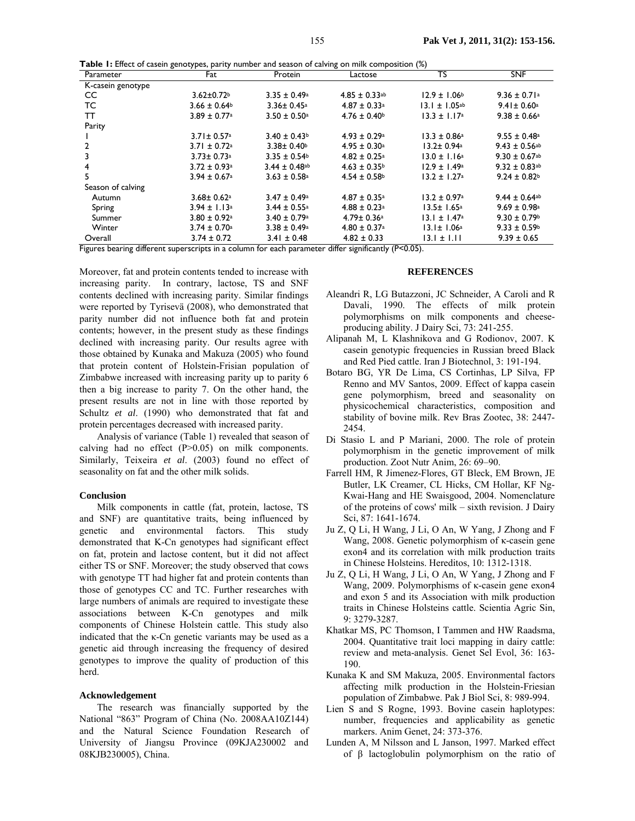| Table 1: Effect of casein genotypes, parity number and season of calving on milk composition (%) |  |  |
|--------------------------------------------------------------------------------------------------|--|--|
|--------------------------------------------------------------------------------------------------|--|--|

| Parameter                                                               | - 75<br>Fat                  | Protein                       | Lactose                       | $\mathbf{v}$<br>ΤŜ           | <b>SNF</b>                    |
|-------------------------------------------------------------------------|------------------------------|-------------------------------|-------------------------------|------------------------------|-------------------------------|
| K-casein genotype                                                       |                              |                               |                               |                              |                               |
| CC.                                                                     | $3.62 \pm 0.72$              | $3.35 \pm 0.49^{\circ}$       | $4.85 \pm 0.33$ <sup>ab</sup> | $12.9 \pm 1.06^{\circ}$      | $9.36 \pm 0.71$ <sup>a</sup>  |
| TC                                                                      | $3.66 \pm 0.64$              | $3.36 \pm 0.45$ <sup>a</sup>  | $4.87 \pm 0.33$ <sup>a</sup>  | $13.1 \pm 1.05$ ab           | $9.41 \pm 0.60$ <sup>a</sup>  |
| тт                                                                      | $3.89 \pm 0.77$ <sup>a</sup> | $3.50 \pm 0.50$ <sup>a</sup>  | $4.76 \pm 0.40$ <sup>b</sup>  | $13.3 \pm 1.17^{\circ}$      | $9.38 \pm 0.66$ <sup>a</sup>  |
| Parity                                                                  |                              |                               |                               |                              |                               |
|                                                                         | $3.71 \pm 0.57$ <sup>a</sup> | $3.40 \pm 0.43$ <sup>b</sup>  | $4.93 \pm 0.29$ <sup>a</sup>  | $13.3 \pm 0.86^{\circ}$      | $9.55 \pm 0.48$ <sup>a</sup>  |
|                                                                         | $3.71 \pm 0.72$ <sup>a</sup> | $3.38 \pm 0.40$               | $4.95 \pm 0.30^{\circ}$       | 13.2± 0.94a                  | $9.43 \pm 0.56$ <sup>ab</sup> |
|                                                                         | $3.73 \pm 0.73$ <sup>a</sup> | $3.35 \pm 0.54$ <sup>b</sup>  | $4.82 \pm 0.25$ <sup>a</sup>  | $13.0 \pm 1.16^a$            | $9.30 \pm 0.67$ <sup>ab</sup> |
| 4                                                                       | $3.72 \pm 0.93$ <sup>a</sup> | $3.44 \pm 0.48$ <sup>ab</sup> | $4.63 \pm 0.35$ <sup>b</sup>  | $12.9 \pm 1.49^{\circ}$      | $9.32 \pm 0.83$ <sup>ab</sup> |
| 5.                                                                      | $3.94 \pm 0.67$ <sup>a</sup> | $3.63 \pm 0.58$ <sup>a</sup>  | $4.54 \pm 0.58$               | $13.2 \pm 1.27$ <sup>a</sup> | $9.24 \pm 0.82$ <sup>b</sup>  |
| Season of calving                                                       |                              |                               |                               |                              |                               |
| Autumn                                                                  | $3.68 \pm 0.62$ <sup>a</sup> | $3.47 \pm 0.49$ <sup>a</sup>  | $4.87 \pm 0.35$ <sup>a</sup>  | $13.2 \pm 0.97$ <sup>a</sup> | $9.44 \pm 0.64$ <sup>ab</sup> |
| Spring                                                                  | $3.94 \pm 1.13^{\circ}$      | $3.44 \pm 0.55$ <sup>a</sup>  | $4.88 \pm 0.23$ <sup>a</sup>  | $13.5 \pm 1.65^{\circ}$      | $9.69 \pm 0.98$ <sup>a</sup>  |
| Summer                                                                  | $3.80 \pm 0.92$ <sup>a</sup> | $3.40 \pm 0.79$ <sup>a</sup>  | $4.79 \pm 0.36$ <sup>a</sup>  | $13.1 \pm 1.47$ <sup>a</sup> | $9.30 \pm 0.79$ <sup>b</sup>  |
| Winter                                                                  | $3.74 \pm 0.70$ <sup>a</sup> | $3.38 \pm 0.49^{\circ}$       | $4.80 \pm 0.37$ <sup>a</sup>  | 13.1± 1.06ª                  | $9.33 \pm 0.59$ <sup>b</sup>  |
| Overall<br>$\Gamma$ : where $\Gamma$ is a set of $\Gamma$ of $\Gamma$ . | $3.74 \pm 0.72$              | $3.41 \pm 0.48$               | $4.82 \pm 0.33$               | $13.1 \pm 1.11$              | $9.39 \pm 0.65$               |

Figures bearing different superscripts in a column for each parameter differ significantly (P<0.05).

Moreover, fat and protein contents tended to increase with increasing parity. In contrary, lactose, TS and SNF contents declined with increasing parity. Similar findings were reported by Tyrisevä (2008), who demonstrated that parity number did not influence both fat and protein contents; however, in the present study as these findings declined with increasing parity. Our results agree with those obtained by Kunaka and Makuza (2005) who found that protein content of Holstein-Frisian population of Zimbabwe increased with increasing parity up to parity 6 then a big increase to parity 7. On the other hand, the present results are not in line with those reported by Schultz *et al*. (1990) who demonstrated that fat and protein percentages decreased with increased parity.

Analysis of variance (Table 1) revealed that season of calving had no effect (P>0.05) on milk components. Similarly, Teixeira *et al*. (2003) found no effect of seasonality on fat and the other milk solids.

#### **Conclusion**

Milk components in cattle (fat, protein, lactose, TS and SNF) are quantitative traits, being influenced by genetic and environmental factors. This study demonstrated that K-Cn genotypes had significant effect on fat, protein and lactose content, but it did not affect either TS or SNF. Moreover; the study observed that cows with genotype TT had higher fat and protein contents than those of genotypes CC and TC. Further researches with large numbers of animals are required to investigate these associations between K-Cn genotypes and milk components of Chinese Holstein cattle. This study also indicated that the κ-Cn genetic variants may be used as a genetic aid through increasing the frequency of desired genotypes to improve the quality of production of this herd.

### **Acknowledgement**

The research was financially supported by the National "863" Program of China (No. 2008AA10Z144) and the Natural Science Foundation Research of University of Jiangsu Province (09KJA230002 and 08KJB230005), China.

## **REFERENCES**

- Aleandri R, LG Butazzoni, JC Schneider, A Caroli and R Davali, 1990. The effects of milk protein polymorphisms on milk components and cheeseproducing ability. J Dairy Sci, 73: 241-255.
- Alipanah M, L Klashnikova and G Rodionov, 2007. K casein genotypic frequencies in Russian breed Black and Red Pied cattle. Iran J Biotechnol, 3: 191-194.
- Botaro BG, YR De Lima, CS Cortinhas, LP Silva, FP Renno and MV Santos, 2009. Effect of kappa casein gene polymorphism, breed and seasonality on physicochemical characteristics, composition and stability of bovine milk. Rev Bras Zootec, 38: 2447- 2454.
- Di Stasio L and P Mariani, 2000. The role of protein polymorphism in the genetic improvement of milk production. Zoot Nutr Anim, 26: 69–90.
- Farrell HM, R Jimenez-Flores, GT Bleck, EM Brown, JE Butler, LK Creamer, CL Hicks, CM Hollar, KF Ng-Kwai-Hang and HE Swaisgood, 2004. Nomenclature of the proteins of cows' milk – sixth revision. J Dairy Sci, 87: 1641-1674.
- Ju Z, Q Li, H Wang, J Li, O An, W Yang, J Zhong and F Wang, 2008. Genetic polymorphism of κ-casein gene exon4 and its correlation with milk production traits in Chinese Holsteins. Hereditos, 10: 1312-1318.
- Ju Z, Q Li, H Wang, J Li, O An, W Yang, J Zhong and F Wang, 2009. Polymorphisms of κ-casein gene exon4 and exon 5 and its Association with milk production traits in Chinese Holsteins cattle. Scientia Agric Sin, 9: 3279-3287.
- Khatkar MS, PC Thomson, I Tammen and HW Raadsma, 2004. Quantitative trait loci mapping in dairy cattle: review and meta-analysis. Genet Sel Evol, 36: 163- 190.
- Kunaka K and SM Makuza, 2005. Environmental factors affecting milk production in the Holstein-Friesian population of Zimbabwe. Pak J Biol Sci, 8: 989-994.
- Lien S and S Rogne, 1993. Bovine casein haplotypes: number, frequencies and applicability as genetic markers. Anim Genet, 24: 373-376.
- Lunden A, M Nilsson and L Janson, 1997. Marked effect of β lactoglobulin polymorphism on the ratio of